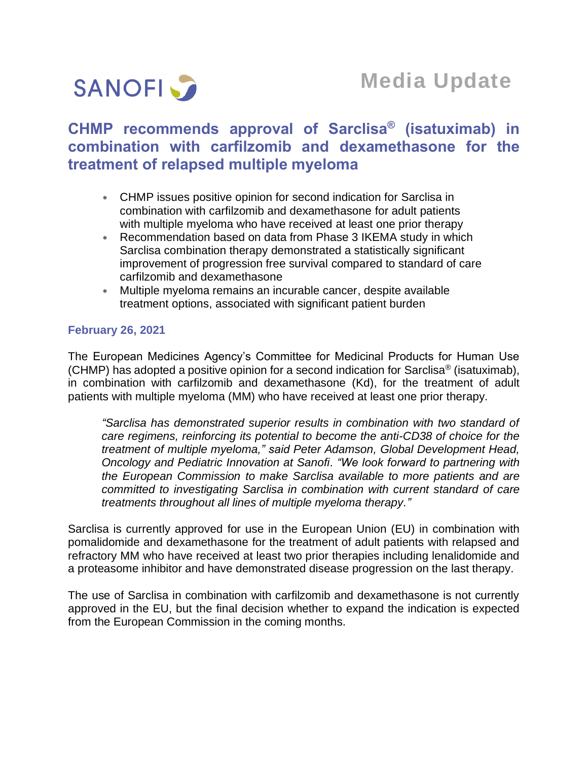

# **CHMP recommends approval of Sarclisa® (isatuximab) in combination with carfilzomib and dexamethasone for the treatment of relapsed multiple myeloma**

- CHMP issues positive opinion for second indication for Sarclisa in combination with carfilzomib and dexamethasone for adult patients with multiple myeloma who have received at least one prior therapy
- Recommendation based on data from Phase 3 IKEMA study in which Sarclisa combination therapy demonstrated a statistically significant improvement of progression free survival compared to standard of care carfilzomib and dexamethasone
- Multiple myeloma remains an incurable cancer, despite available treatment options, associated with significant patient burden

# **February 26, 2021**

The European Medicines Agency's Committee for Medicinal Products for Human Use (CHMP) has adopted a positive opinion for a second indication for Sarclisa<sup>®</sup> (isatuximab), in combination with carfilzomib and dexamethasone (Kd), for the treatment of adult patients with multiple myeloma (MM) who have received at least one prior therapy.

*"Sarclisa has demonstrated superior results in combination with two standard of care regimens, reinforcing its potential to become the anti-CD38 of choice for the treatment of multiple myeloma," said Peter Adamson, Global Development Head, Oncology and Pediatric Innovation at Sanofi. "We look forward to partnering with the European Commission to make Sarclisa available to more patients and are committed to investigating Sarclisa in combination with current standard of care treatments throughout all lines of multiple myeloma therapy."*

Sarclisa is currently approved for use in the European Union (EU) in combination with pomalidomide and dexamethasone for the treatment of adult patients with relapsed and refractory MM who have received at least two prior therapies including lenalidomide and a proteasome inhibitor and have demonstrated disease progression on the last therapy.

The use of Sarclisa in combination with carfilzomib and dexamethasone is not currently approved in the EU, but the final decision whether to expand the indication is expected from the European Commission in the coming months.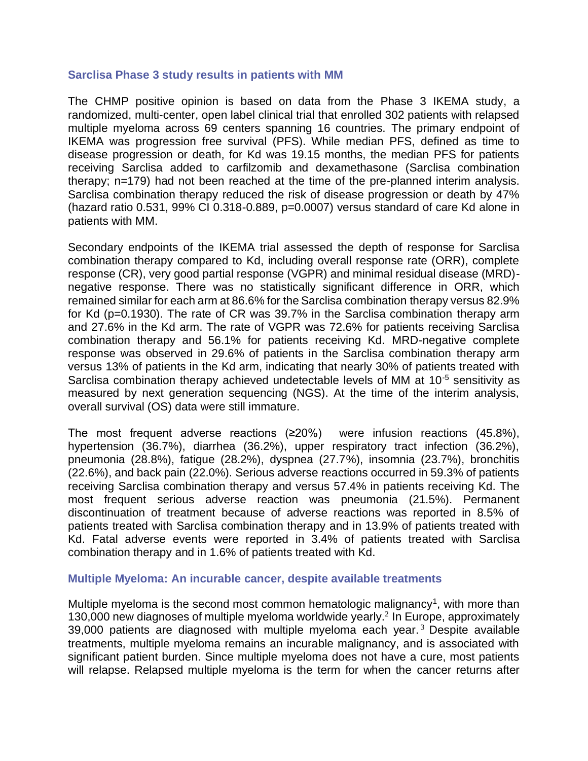## **Sarclisa Phase 3 study results in patients with MM**

The CHMP positive opinion is based on data from the Phase 3 IKEMA study, a randomized, multi-center, open label clinical trial that enrolled 302 patients with relapsed multiple myeloma across 69 centers spanning 16 countries. The primary endpoint of IKEMA was progression free survival (PFS). While median PFS, defined as time to disease progression or death, for Kd was 19.15 months, the median PFS for patients receiving Sarclisa added to carfilzomib and dexamethasone (Sarclisa combination therapy; n=179) had not been reached at the time of the pre-planned interim analysis. Sarclisa combination therapy reduced the risk of disease progression or death by 47% (hazard ratio  $0.531$ ,  $99\%$  CI  $0.318$ - $0.889$ ,  $p=0.0007$ ) versus standard of care Kd alone in patients with MM.

Secondary endpoints of the IKEMA trial assessed the depth of response for Sarclisa combination therapy compared to Kd, including overall response rate (ORR), complete response (CR), very good partial response (VGPR) and minimal residual disease (MRD) negative response. There was no statistically significant difference in ORR, which remained similar for each arm at 86.6% for the Sarclisa combination therapy versus 82.9% for Kd (p=0.1930). The rate of CR was 39.7% in the Sarclisa combination therapy arm and 27.6% in the Kd arm. The rate of VGPR was 72.6% for patients receiving Sarclisa combination therapy and 56.1% for patients receiving Kd. MRD-negative complete response was observed in 29.6% of patients in the Sarclisa combination therapy arm versus 13% of patients in the Kd arm, indicating that nearly 30% of patients treated with Sarclisa combination therapy achieved undetectable levels of MM at 10<sup>-5</sup> sensitivity as measured by next generation sequencing (NGS). At the time of the interim analysis, overall survival (OS) data were still immature.

The most frequent adverse reactions (≥20%) were infusion reactions (45.8%), hypertension (36.7%), diarrhea (36.2%), upper respiratory tract infection (36.2%), pneumonia (28.8%), fatigue (28.2%), dyspnea (27.7%), insomnia (23.7%), bronchitis (22.6%), and back pain (22.0%). Serious adverse reactions occurred in 59.3% of patients receiving Sarclisa combination therapy and versus 57.4% in patients receiving Kd. The most frequent serious adverse reaction was pneumonia (21.5%). Permanent discontinuation of treatment because of adverse reactions was reported in 8.5% of patients treated with Sarclisa combination therapy and in 13.9% of patients treated with Kd. Fatal adverse events were reported in 3.4% of patients treated with Sarclisa combination therapy and in 1.6% of patients treated with Kd.

#### **Multiple Myeloma: An incurable cancer, despite available treatments**

Multiple myeloma is the second most common hematologic malignancy<sup>1</sup>, with more than 130,000 new diagnoses of multiple myeloma worldwide yearly.<sup>2</sup> In Europe, approximately 39,000 patients are diagnosed with multiple myeloma each year.<sup>3</sup> Despite available treatments, multiple myeloma remains an incurable malignancy, and is associated with significant patient burden. Since multiple myeloma does not have a cure, most patients will relapse. Relapsed multiple myeloma is the term for when the cancer returns after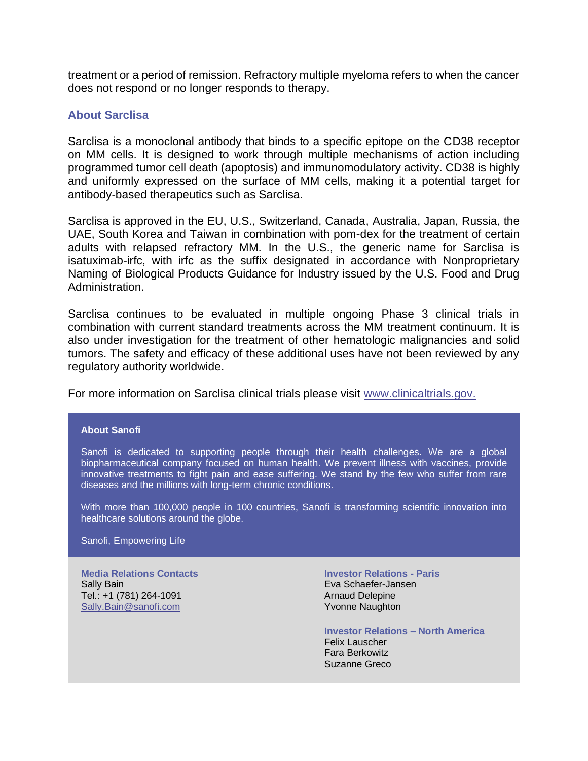treatment or a period of remission. Refractory multiple myeloma refers to when the cancer does not respond or no longer responds to therapy.

### **About Sarclisa**

Sarclisa is a monoclonal antibody that binds to a specific epitope on the CD38 receptor on MM cells. It is designed to work through multiple mechanisms of action including programmed tumor cell death (apoptosis) and immunomodulatory activity. CD38 is highly and uniformly expressed on the surface of MM cells, making it a potential target for antibody-based therapeutics such as Sarclisa.

Sarclisa is approved in the EU, U.S., Switzerland, Canada, Australia, Japan, Russia, the UAE, South Korea and Taiwan in combination with pom-dex for the treatment of certain adults with relapsed refractory MM. In the U.S., the generic name for Sarclisa is isatuximab-irfc, with irfc as the suffix designated in accordance with Nonproprietary Naming of Biological Products Guidance for Industry issued by the U.S. Food and Drug Administration.

Sarclisa continues to be evaluated in multiple ongoing Phase 3 clinical trials in combination with current standard treatments across the MM treatment continuum. It is also under investigation for the treatment of other hematologic malignancies and solid tumors. The safety and efficacy of these additional uses have not been reviewed by any regulatory authority worldwide.

For more information on Sarclisa clinical trials please visit [www.clinicaltrials.gov.](http://www.clinicaltrials.gov/)

#### **About Sanofi**

Sanofi is dedicated to supporting people through their health challenges. We are a global biopharmaceutical company focused on human health. We prevent illness with vaccines, provide innovative treatments to fight pain and ease suffering. We stand by the few who suffer from rare diseases and the millions with long-term chronic conditions.

With more than 100,000 people in 100 countries, Sanofi is transforming scientific innovation into healthcare solutions around the globe.

Sanofi, Empowering Life

**Media Relations Contacts** Sally Bain Tel.: +1 (781) 264-1091 [Sally.Bain@sanofi.com](mailto:Sally.Bain@sanofi.com)

**Investor Relations - Paris** Eva Schaefer-Jansen Arnaud Delepine Yvonne Naughton

**Investor Relations – North America** Felix Lauscher Fara Berkowitz Suzanne Greco